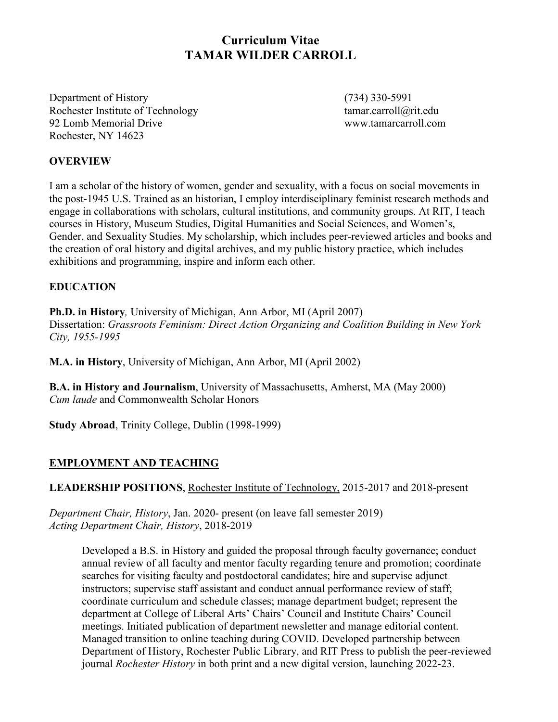# **Curriculum Vitae TAMAR WILDER CARROLL**

Department of History (734) 330-5991 Rochester Institute of Technology tamar.carroll@rit.edu 92 Lomb Memorial Drive www.tamarcarroll.com Rochester, NY 14623

### **OVERVIEW**

I am a scholar of the history of women, gender and sexuality, with a focus on social movements in the post-1945 U.S. Trained as an historian, I employ interdisciplinary feminist research methods and engage in collaborations with scholars, cultural institutions, and community groups. At RIT, I teach courses in History, Museum Studies, Digital Humanities and Social Sciences, and Women's, Gender, and Sexuality Studies. My scholarship, which includes peer-reviewed articles and books and the creation of oral history and digital archives, and my public history practice, which includes exhibitions and programming, inspire and inform each other.

### **EDUCATION**

**Ph.D. in History***,* University of Michigan, Ann Arbor, MI (April 2007) Dissertation: *Grassroots Feminism: Direct Action Organizing and Coalition Building in New York City, 1955-1995*

**M.A. in History**, University of Michigan, Ann Arbor, MI (April 2002)

**B.A. in History and Journalism**, University of Massachusetts, Amherst, MA (May 2000) *Cum laude* and Commonwealth Scholar Honors

**Study Abroad**, Trinity College, Dublin (1998-1999)

### **EMPLOYMENT AND TEACHING**

**LEADERSHIP POSITIONS**, Rochester Institute of Technology, 2015-2017 and 2018-present

*Department Chair, History*, Jan. 2020- present (on leave fall semester 2019) *Acting Department Chair, History*, 2018-2019

Developed a B.S. in History and guided the proposal through faculty governance; conduct annual review of all faculty and mentor faculty regarding tenure and promotion; coordinate searches for visiting faculty and postdoctoral candidates; hire and supervise adjunct instructors; supervise staff assistant and conduct annual performance review of staff; coordinate curriculum and schedule classes; manage department budget; represent the department at College of Liberal Arts' Chairs' Council and Institute Chairs' Council meetings. Initiated publication of department newsletter and manage editorial content. Managed transition to online teaching during COVID. Developed partnership between Department of History, Rochester Public Library, and RIT Press to publish the peer-reviewed journal *Rochester History* in both print and a new digital version, launching 2022-23.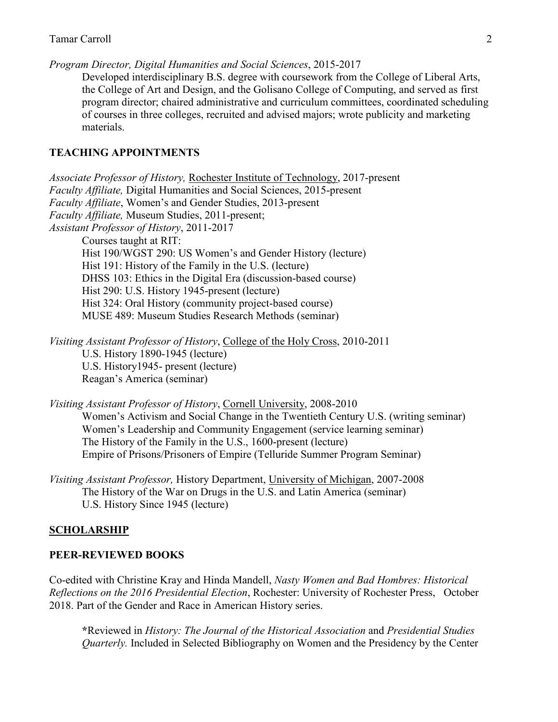*Program Director, Digital Humanities and Social Sciences*, 2015-2017 Developed interdisciplinary B.S. degree with coursework from the College of Liberal Arts, the College of Art and Design, and the Golisano College of Computing, and served as first program director; chaired administrative and curriculum committees, coordinated scheduling of courses in three colleges, recruited and advised majors; wrote publicity and marketing materials.

#### **TEACHING APPOINTMENTS**

*Associate Professor of History,* Rochester Institute of Technology, 2017-present *Faculty Affiliate,* Digital Humanities and Social Sciences, 2015-present *Faculty Affiliate*, Women's and Gender Studies, 2013-present *Faculty Affiliate,* Museum Studies, 2011-present; *Assistant Professor of History*, 2011-2017 Courses taught at RIT: Hist 190/WGST 290: US Women's and Gender History (lecture) Hist 191: History of the Family in the U.S. (lecture) DHSS 103: Ethics in the Digital Era (discussion-based course) Hist 290: U.S. History 1945-present (lecture) Hist 324: Oral History (community project-based course) MUSE 489: Museum Studies Research Methods (seminar)

*Visiting Assistant Professor of History*, College of the Holy Cross, 2010-2011

U.S. History 1890-1945 (lecture) U.S. History1945- present (lecture) Reagan's America (seminar)

*Visiting Assistant Professor of History*, Cornell University, 2008-2010

Women's Activism and Social Change in the Twentieth Century U.S. (writing seminar) Women's Leadership and Community Engagement (service learning seminar) The History of the Family in the U.S., 1600-present (lecture) Empire of Prisons/Prisoners of Empire (Telluride Summer Program Seminar)

*Visiting Assistant Professor,* History Department, University of Michigan, 2007-2008 The History of the War on Drugs in the U.S. and Latin America (seminar) U.S. History Since 1945 (lecture)

#### **SCHOLARSHIP**

#### **PEER-REVIEWED BOOKS**

Co-edited with Christine Kray and Hinda Mandell, *Nasty Women and Bad Hombres: Historical Reflections on the 2016 Presidential Election*, Rochester: University of Rochester Press, October 2018. Part of the Gender and Race in American History series.

**\***Reviewed in *History: The Journal of the Historical Association* and *Presidential Studies Quarterly.* Included in Selected Bibliography on Women and the Presidency by the Center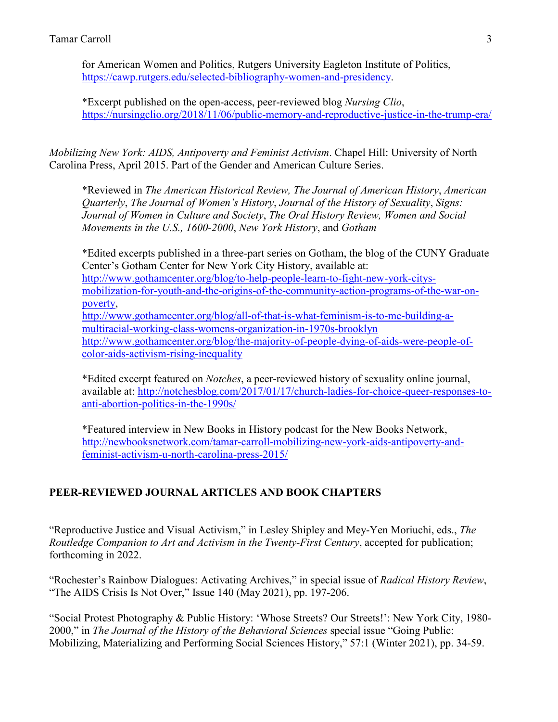for American Women and Politics, Rutgers University Eagleton Institute of Politics, [https://cawp.rutgers.edu/selected-bibliography-women-and-presidency.](https://cawp.rutgers.edu/selected-bibliography-women-and-presidency)

\*Excerpt published on the open-access, peer-reviewed blog *Nursing Clio*, <https://nursingclio.org/2018/11/06/public-memory-and-reproductive-justice-in-the-trump-era/>

*Mobilizing New York: AIDS, Antipoverty and Feminist Activism*. Chapel Hill: University of North Carolina Press, April 2015. Part of the Gender and American Culture Series.

\*Reviewed in *The American Historical Review, The Journal of American History*, *American Quarterly*, *The Journal of Women's History*, *Journal of the History of Sexuality*, *Signs: Journal of Women in Culture and Society*, *The Oral History Review, Women and Social Movements in the U.S., 1600-2000*, *New York History*, and *Gotham* 

\*Edited excerpts published in a three-part series on Gotham, the blog of the CUNY Graduate Center's Gotham Center for New York City History, available at: [http://www.gothamcenter.org/blog/to-help-people-learn-to-fight-new-york-citys](http://www.gothamcenter.org/blog/to-help-people-learn-to-fight-new-york-citys-mobilization-for-youth-and-the-origins-of-the-community-action-programs-of-the-war-on-poverty)[mobilization-for-youth-and-the-origins-of-the-community-action-programs-of-the-war-on](http://www.gothamcenter.org/blog/to-help-people-learn-to-fight-new-york-citys-mobilization-for-youth-and-the-origins-of-the-community-action-programs-of-the-war-on-poverty)[poverty,](http://www.gothamcenter.org/blog/to-help-people-learn-to-fight-new-york-citys-mobilization-for-youth-and-the-origins-of-the-community-action-programs-of-the-war-on-poverty) [http://www.gothamcenter.org/blog/all-of-that-is-what-feminism-is-to-me-building-a](http://www.gothamcenter.org/blog/all-of-that-is-what-feminism-is-to-me-building-a-multiracial-working-class-womens-organization-in-1970s-brooklyn)[multiracial-working-class-womens-organization-in-1970s-brooklyn](http://www.gothamcenter.org/blog/all-of-that-is-what-feminism-is-to-me-building-a-multiracial-working-class-womens-organization-in-1970s-brooklyn) [http://www.gothamcenter.org/blog/the-majority-of-people-dying-of-aids-were-people-of](http://www.gothamcenter.org/blog/the-majority-of-people-dying-of-aids-were-people-of-color-aids-activism-rising-inequality)[color-aids-activism-rising-inequality](http://www.gothamcenter.org/blog/the-majority-of-people-dying-of-aids-were-people-of-color-aids-activism-rising-inequality)

\*Edited excerpt featured on *Notches*, a peer-reviewed history of sexuality online journal, available at: [http://notchesblog.com/2017/01/17/church-ladies-for-choice-queer-responses-to](http://notchesblog.com/2017/01/17/church-ladies-for-choice-queer-responses-to-anti-abortion-politics-in-the-1990s/)[anti-abortion-politics-in-the-1990s/](http://notchesblog.com/2017/01/17/church-ladies-for-choice-queer-responses-to-anti-abortion-politics-in-the-1990s/)

\*Featured interview in New Books in History podcast for the New Books Network, [http://newbooksnetwork.com/tamar-carroll-mobilizing-new-york-aids-antipoverty-and](http://newbooksnetwork.com/tamar-carroll-mobilizing-new-york-aids-antipoverty-and-feminist-activism-u-north-carolina-press-2015/)[feminist-activism-u-north-carolina-press-2015/](http://newbooksnetwork.com/tamar-carroll-mobilizing-new-york-aids-antipoverty-and-feminist-activism-u-north-carolina-press-2015/)

# **PEER-REVIEWED JOURNAL ARTICLES AND BOOK CHAPTERS**

"Reproductive Justice and Visual Activism," in Lesley Shipley and Mey-Yen Moriuchi, eds., *The Routledge Companion to Art and Activism in the Twenty-First Century*, accepted for publication; forthcoming in 2022.

"Rochester's Rainbow Dialogues: Activating Archives," in special issue of *Radical History Review*, "The AIDS Crisis Is Not Over," Issue 140 (May 2021), pp. 197-206.

"Social Protest Photography & Public History: 'Whose Streets? Our Streets!': New York City, 1980- 2000," in *The Journal of the History of the Behavioral Sciences* special issue "Going Public: Mobilizing, Materializing and Performing Social Sciences History," 57:1 (Winter 2021), pp. 34-59.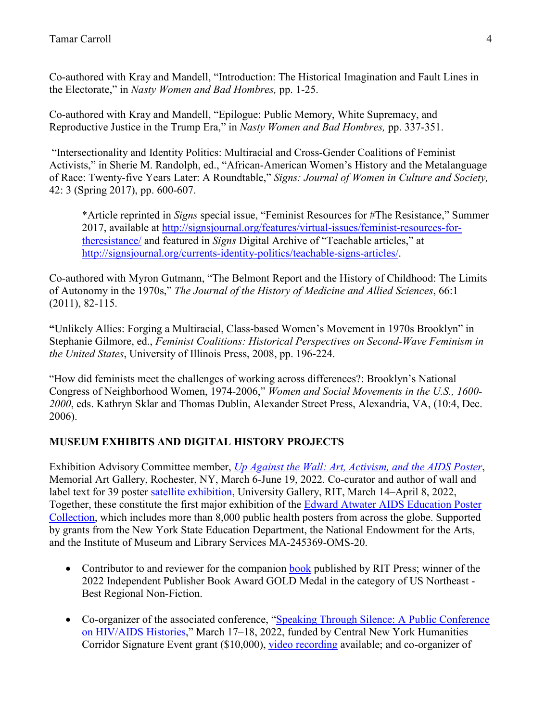Co-authored with Kray and Mandell, "Introduction: The Historical Imagination and Fault Lines in the Electorate," in *Nasty Women and Bad Hombres,* pp. 1-25.

Co-authored with Kray and Mandell, "Epilogue: Public Memory, White Supremacy, and Reproductive Justice in the Trump Era," in *Nasty Women and Bad Hombres,* pp. 337-351.

"Intersectionality and Identity Politics: Multiracial and Cross-Gender Coalitions of Feminist Activists," in Sherie M. Randolph, ed., "African-American Women's History and the Metalanguage of Race: Twenty-five Years Later: A Roundtable," *Signs: Journal of Women in Culture and Society,*  42: 3 (Spring 2017), pp. 600-607.

\*Article reprinted in *Signs* special issue, "Feminist Resources for #The Resistance," Summer 2017, available at [http://signsjournal.org/features/virtual-issues/feminist-resources-for](http://signsjournal.org/features/virtual-issues/feminist-resources-for-theresistance/)[theresistance/](http://signsjournal.org/features/virtual-issues/feminist-resources-for-theresistance/) and featured in *Signs* Digital Archive of "Teachable articles," at [http://signsjournal.org/currents-identity-politics/teachable-signs-articles/.](http://signsjournal.org/currents-identity-politics/teachable-signs-articles/)

Co-authored with Myron Gutmann, "The Belmont Report and the History of Childhood: The Limits of Autonomy in the 1970s," *The Journal of the History of Medicine and Allied Sciences*, 66:1 (2011), 82-115.

**"**Unlikely Allies: Forging a Multiracial, Class-based Women's Movement in 1970s Brooklyn" in Stephanie Gilmore, ed., *Feminist Coalitions: Historical Perspectives on Second-Wave Feminism in the United States*, University of Illinois Press, 2008, pp. 196-224.

"How did feminists meet the challenges of working across differences?: Brooklyn's National Congress of Neighborhood Women, 1974-2006," *Women and Social Movements in the U.S., 1600- 2000*, eds. Kathryn Sklar and Thomas Dublin, Alexander Street Press, Alexandria, VA, (10:4, Dec. 2006).

### **MUSEUM EXHIBITS AND DIGITAL HISTORY PROJECTS**

Exhibition Advisory Committee member, *[Up Against the Wall: Art, Activism, and the AIDS Poster](https://mag.rochester.edu/exhibitions/up-against-the-wall/)*, Memorial Art Gallery, Rochester, NY, March 6-June 19, 2022. Co-curator and author of wall and label text for 39 poster [satellite exhibition,](https://www.rit.edu/fa/gallery/node/216108) University Gallery, RIT, March 14–April 8, 2022, Together, these constitute the first major exhibition of the [Edward Atwater AIDS Education Poster](https://aep.lib.rochester.edu/)  [Collection,](https://aep.lib.rochester.edu/) which includes more than 8,000 public health posters from across the globe. Supported by grants from the New York State Education Department, the National Endowment for the Arts, and the Institute of Museum and Library Services MA-245369-OMS-20.

- Contributor to and reviewer for the companion [book](https://www.rit.edu/press/against-wall) published by RIT Press; winner of the 2022 Independent Publisher Book Award GOLD Medal in the category of US Northeast - Best Regional Non-Fiction.
- Co-organizer of the associated conference, "Speaking Through Silence: A Public Conference [on HIV/AIDS Histories,](https://mag.rochester.edu/events/speaking-through-silence-a-public-conference-on-hiv-aids-histories/)" March 17–18, 2022, funded by Central New York Humanities Corridor Signature Event grant (\$10,000), [video recording](https://www.youtube.com/watch?v=WUJ0Spn0yFA&list=PLH98zk9DbQ1QfJRRYinc6oux8dRYIz33B.) available; and co-organizer of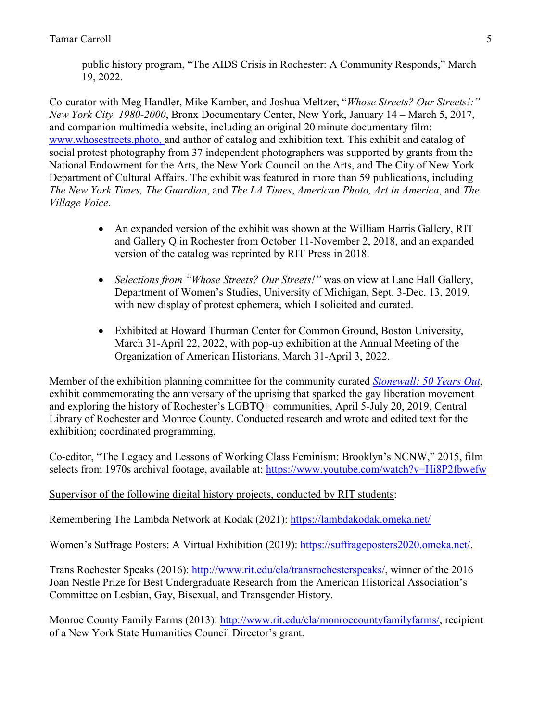public history program, "The AIDS Crisis in Rochester: A Community Responds," March 19, 2022.

Co-curator with Meg Handler, Mike Kamber, and Joshua Meltzer, "*Whose Streets? Our Streets!:" New York City, 1980-2000*, Bronx Documentary Center, New York, January 14 – March 5, 2017, and companion multimedia website, including an original 20 minute documentary film: [www.whosestreets.photo,](http://www.whosestreets.photo/) and author of catalog and exhibition text. This exhibit and catalog of social protest photography from 37 independent photographers was supported by grants from the National Endowment for the Arts, the New York Council on the Arts, and The City of New York Department of Cultural Affairs. The exhibit was featured in more than 59 publications, including *The New York Times, The Guardian*, and *The LA Times*, *American Photo, Art in America*, and *The Village Voice*.

- An expanded version of the exhibit was shown at the William Harris Gallery, RIT and Gallery Q in Rochester from October 11-November 2, 2018, and an expanded version of the catalog was reprinted by RIT Press in 2018.
- *Selections from "Whose Streets? Our Streets!"* was on view at Lane Hall Gallery, Department of Women's Studies, University of Michigan, Sept. 3-Dec. 13, 2019, with new display of protest ephemera, which I solicited and curated.
- Exhibited at Howard Thurman Center for Common Ground, Boston University, March 31-April 22, 2022, with pop-up exhibition at the Annual Meeting of the Organization of American Historians, March 31-April 3, 2022.

Member of the exhibition planning committee for the community curated *[Stonewall: 50 Years Out](https://roccitylibrary.org/exhibits/stonewall_at_50/)*, exhibit commemorating the anniversary of the uprising that sparked the gay liberation movement and exploring the history of Rochester's LGBTQ+ communities, April 5-July 20, 2019, Central Library of Rochester and Monroe County. Conducted research and wrote and edited text for the exhibition; coordinated programming.

Co-editor, "The Legacy and Lessons of Working Class Feminism: Brooklyn's NCNW," 2015, film selects from 1970s archival footage, available at:<https://www.youtube.com/watch?v=Hi8P2fbwefw>

### Supervisor of the following digital history projects, conducted by RIT students:

Remembering The Lambda Network at Kodak (2021):<https://lambdakodak.omeka.net/>

Women's Suffrage Posters: A Virtual Exhibition (2019): [https://suffrageposters2020.omeka.net/.](https://suffrageposters2020.omeka.net/)

Trans Rochester Speaks (2016): [http://www.rit.edu/cla/transrochesterspeaks/,](http://www.rit.edu/cla/transrochesterspeaks/) winner of the 2016 Joan Nestle Prize for Best Undergraduate Research from the American Historical Association's Committee on Lesbian, Gay, Bisexual, and Transgender History.

Monroe County Family Farms (2013): [http://www.rit.edu/cla/monroecountyfamilyfarms/,](http://www.rit.edu/cla/monroecountyfamilyfarms/) recipient of a New York State Humanities Council Director's grant.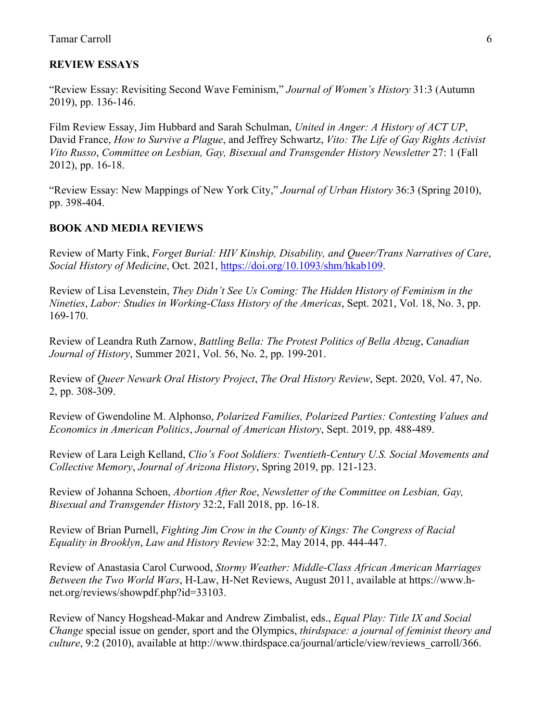#### **REVIEW ESSAYS**

"Review Essay: Revisiting Second Wave Feminism," *Journal of Women's History* 31:3 (Autumn 2019), pp. 136-146.

Film Review Essay, Jim Hubbard and Sarah Schulman, *United in Anger: A History of ACT UP*, David France, *How to Survive a Plague*, and Jeffrey Schwartz, *Vito: The Life of Gay Rights Activist Vito Russo*, *Committee on Lesbian, Gay, Bisexual and Transgender History Newsletter* 27: 1 (Fall 2012), pp. 16-18.

"Review Essay: New Mappings of New York City," *Journal of Urban History* 36:3 (Spring 2010), pp. 398-404.

#### **BOOK AND MEDIA REVIEWS**

Review of Marty Fink, *Forget Burial: HIV Kinship, Disability, and Queer/Trans Narratives of Care*, *Social History of Medicine*, Oct. 2021, [https://doi.org/10.1093/shm/hkab109.](https://doi.org/10.1093/shm/hkab109)

Review of Lisa Levenstein, *They Didn't See Us Coming: The Hidden History of Feminism in the Nineties*, *Labor: Studies in Working-Class History of the Americas*, Sept. 2021, Vol. 18, No. 3, pp. 169-170.

Review of Leandra Ruth Zarnow, *Battling Bella: The Protest Politics of Bella Abzug*, *Canadian Journal of History*, Summer 2021, Vol. 56, No. 2, pp. 199-201.

Review of *Queer Newark Oral History Project*, *The Oral History Review*, Sept. 2020, Vol. 47, No. 2, pp. 308-309.

Review of Gwendoline M. Alphonso, *Polarized Families, Polarized Parties: Contesting Values and Economics in American Politics*, *Journal of American History*, Sept. 2019, pp. 488-489.

Review of Lara Leigh Kelland, *Clio's Foot Soldiers: Twentieth-Century U.S. Social Movements and Collective Memory*, *Journal of Arizona History*, Spring 2019, pp. 121-123.

Review of Johanna Schoen, *Abortion After Roe*, *Newsletter of the Committee on Lesbian, Gay, Bisexual and Transgender History* 32:2, Fall 2018, pp. 16-18.

Review of Brian Purnell, *Fighting Jim Crow in the County of Kings: The Congress of Racial Equality in Brooklyn*, *Law and History Review* 32:2, May 2014, pp. 444-447.

Review of Anastasia Carol Curwood, *Stormy Weather: Middle-Class African American Marriages Between the Two World Wars*, H-Law, H-Net Reviews, August 2011, available at https://www.hnet.org/reviews/showpdf.php?id=33103.

Review of Nancy Hogshead-Makar and Andrew Zimbalist, eds., *Equal Play: Title IX and Social Change* special issue on gender, sport and the Olympics, *thirdspace: a journal of feminist theory and culture*, 9:2 (2010), available at http://www.thirdspace.ca/journal/article/view/reviews\_carroll/366.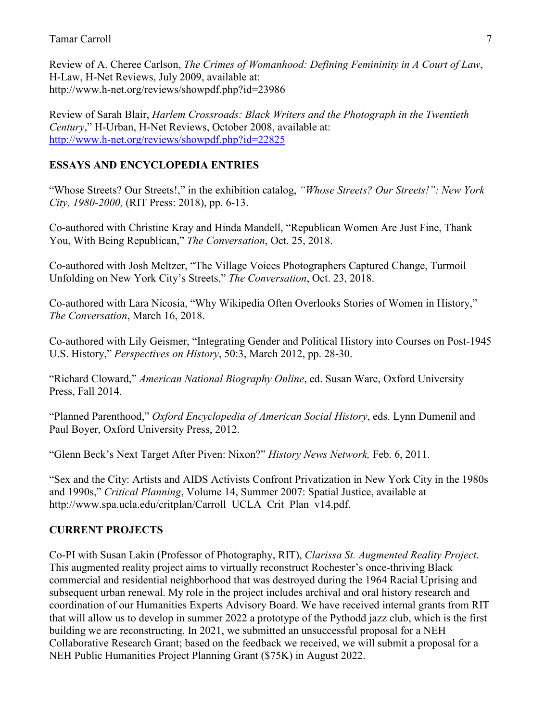Review of A. Cheree Carlson, *The Crimes of Womanhood: Defining Femininity in A Court of Law*, H-Law, H-Net Reviews, July 2009, available at: http://www.h-net.org/reviews/showpdf.php?id=23986

Review of Sarah Blair, *Harlem Crossroads: Black Writers and the Photograph in the Twentieth Century*," H-Urban, H-Net Reviews, October 2008, available at: <http://www.h-net.org/reviews/showpdf.php?id=22825>

# **ESSAYS AND ENCYCLOPEDIA ENTRIES**

"Whose Streets? Our Streets!," in the exhibition catalog, *"Whose Streets? Our Streets!": New York City, 1980-2000,* (RIT Press: 2018), pp. 6-13.

Co-authored with Christine Kray and Hinda Mandell, "Republican Women Are Just Fine, Thank You, With Being Republican," *The Conversation*, Oct. 25, 2018.

Co-authored with Josh Meltzer, "The Village Voices Photographers Captured Change, Turmoil Unfolding on New York City's Streets," *The Conversation*, Oct. 23, 2018.

Co-authored with Lara Nicosia, "Why Wikipedia Often Overlooks Stories of Women in History," *The Conversation*, March 16, 2018.

Co-authored with Lily Geismer, "Integrating Gender and Political History into Courses on Post-1945 U.S. History," *Perspectives on History*, 50:3, March 2012, pp. 28-30.

"Richard Cloward," *American National Biography Online*, ed. Susan Ware, Oxford University Press, Fall 2014.

"Planned Parenthood," *Oxford Encyclopedia of American Social History*, eds. Lynn Dumenil and Paul Boyer, Oxford University Press, 2012.

"Glenn Beck's Next Target After Piven: Nixon?" *History News Network,* Feb. 6, 2011.

"Sex and the City: Artists and AIDS Activists Confront Privatization in New York City in the 1980s and 1990s," *Critical Planning*, Volume 14, Summer 2007: Spatial Justice, available at http://www.spa.ucla.edu/critplan/Carroll\_UCLA\_Crit\_Plan\_v14.pdf.

# **CURRENT PROJECTS**

Co-PI with Susan Lakin (Professor of Photography, RIT), *Clarissa St. Augmented Reality Project*. This augmented reality project aims to virtually reconstruct Rochester's once-thriving Black commercial and residential neighborhood that was destroyed during the 1964 Racial Uprising and subsequent urban renewal. My role in the project includes archival and oral history research and coordination of our Humanities Experts Advisory Board. We have received internal grants from RIT that will allow us to develop in summer 2022 a prototype of the Pythodd jazz club, which is the first building we are reconstructing. In 2021, we submitted an unsuccessful proposal for a NEH Collaborative Research Grant; based on the feedback we received, we will submit a proposal for a NEH Public Humanities Project Planning Grant (\$75K) in August 2022.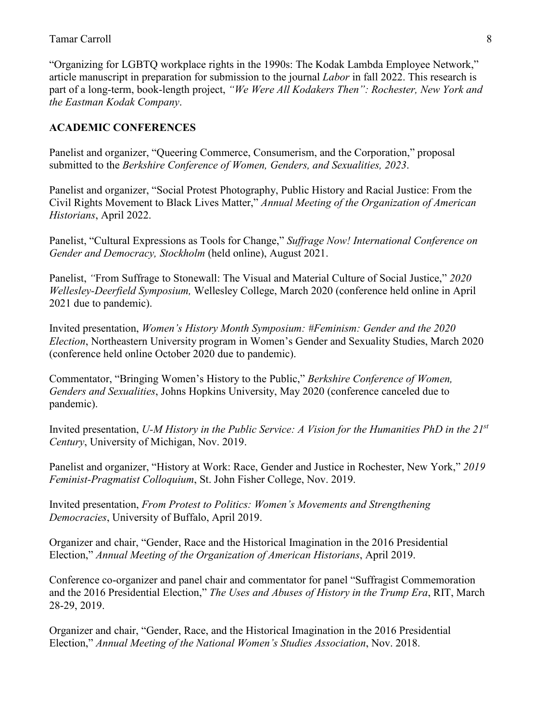"Organizing for LGBTQ workplace rights in the 1990s: The Kodak Lambda Employee Network," article manuscript in preparation for submission to the journal *Labor* in fall 2022. This research is part of a long-term, book-length project, *"We Were All Kodakers Then": Rochester, New York and the Eastman Kodak Company*.

### **ACADEMIC CONFERENCES**

Panelist and organizer, "Queering Commerce, Consumerism, and the Corporation," proposal submitted to the *Berkshire Conference of Women, Genders, and Sexualities, 2023*.

Panelist and organizer, "Social Protest Photography, Public History and Racial Justice: From the Civil Rights Movement to Black Lives Matter," *Annual Meeting of the Organization of American Historians*, April 2022.

Panelist, "Cultural Expressions as Tools for Change," *Suffrage Now! International Conference on Gender and Democracy, Stockholm* (held online), August 2021.

Panelist, *"*From Suffrage to Stonewall: The Visual and Material Culture of Social Justice," *2020 Wellesley-Deerfield Symposium,* Wellesley College, March 2020 (conference held online in April 2021 due to pandemic).

Invited presentation, *Women's History Month Symposium: #Feminism: Gender and the 2020 Election*, Northeastern University program in Women's Gender and Sexuality Studies, March 2020 (conference held online October 2020 due to pandemic).

Commentator, "Bringing Women's History to the Public," *Berkshire Conference of Women, Genders and Sexualities*, Johns Hopkins University, May 2020 (conference canceled due to pandemic).

Invited presentation, *U-M History in the Public Service: A Vision for the Humanities PhD in the 21st Century*, University of Michigan, Nov. 2019.

Panelist and organizer, "History at Work: Race, Gender and Justice in Rochester, New York," *2019 Feminist-Pragmatist Colloquium*, St. John Fisher College, Nov. 2019.

Invited presentation, *From Protest to Politics: Women's Movements and Strengthening Democracies*, University of Buffalo, April 2019.

Organizer and chair, "Gender, Race and the Historical Imagination in the 2016 Presidential Election," *Annual Meeting of the Organization of American Historians*, April 2019.

Conference co-organizer and panel chair and commentator for panel "Suffragist Commemoration and the 2016 Presidential Election," *The Uses and Abuses of History in the Trump Era*, RIT, March 28-29, 2019.

Organizer and chair, "Gender, Race, and the Historical Imagination in the 2016 Presidential Election," *Annual Meeting of the National Women's Studies Association*, Nov. 2018.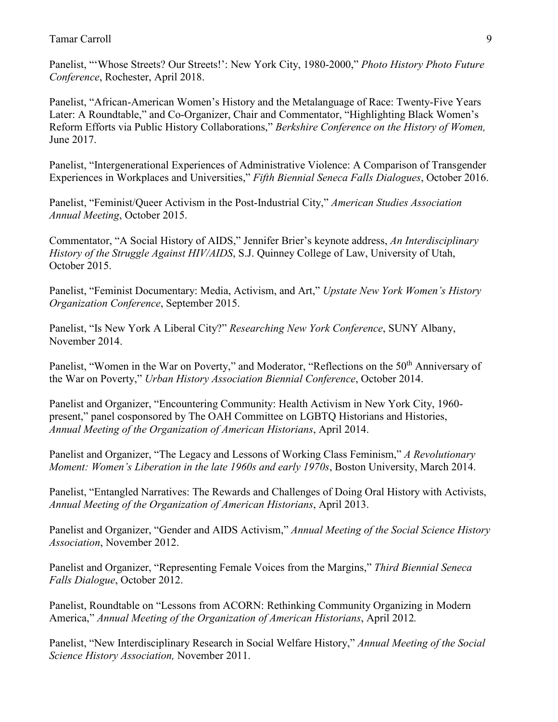Panelist, "'Whose Streets? Our Streets!': New York City, 1980-2000," *Photo History Photo Future Conference*, Rochester, April 2018.

Panelist, "African-American Women's History and the Metalanguage of Race: Twenty-Five Years Later: A Roundtable," and Co-Organizer, Chair and Commentator, "Highlighting Black Women's Reform Efforts via Public History Collaborations," *Berkshire Conference on the History of Women,*  June 2017.

Panelist, "Intergenerational Experiences of Administrative Violence: A Comparison of Transgender Experiences in Workplaces and Universities," *Fifth Biennial Seneca Falls Dialogues*, October 2016.

Panelist, "Feminist/Queer Activism in the Post-Industrial City," *American Studies Association Annual Meeting*, October 2015.

Commentator, "A Social History of AIDS," Jennifer Brier's keynote address, *An Interdisciplinary History of the Struggle Against HIV/AIDS*, S.J. Quinney College of Law, University of Utah, October 2015.

Panelist, "Feminist Documentary: Media, Activism, and Art," *Upstate New York Women's History Organization Conference*, September 2015.

Panelist, "Is New York A Liberal City?" *Researching New York Conference*, SUNY Albany, November 2014.

Panelist, "Women in the War on Poverty," and Moderator, "Reflections on the 50<sup>th</sup> Anniversary of the War on Poverty," *Urban History Association Biennial Conference*, October 2014.

Panelist and Organizer, "Encountering Community: Health Activism in New York City, 1960 present," panel cosponsored by The OAH Committee on LGBTQ Historians and Histories, *Annual Meeting of the Organization of American Historians*, April 2014.

Panelist and Organizer, "The Legacy and Lessons of Working Class Feminism," *A Revolutionary Moment: Women's Liberation in the late 1960s and early 1970s*, Boston University, March 2014.

Panelist, "Entangled Narratives: The Rewards and Challenges of Doing Oral History with Activists, *Annual Meeting of the Organization of American Historians*, April 2013.

Panelist and Organizer, "Gender and AIDS Activism," *Annual Meeting of the Social Science History Association*, November 2012.

Panelist and Organizer, "Representing Female Voices from the Margins," *Third Biennial Seneca Falls Dialogue*, October 2012.

Panelist, Roundtable on "Lessons from ACORN: Rethinking Community Organizing in Modern America," *Annual Meeting of the Organization of American Historians*, April 2012*.*

Panelist, "New Interdisciplinary Research in Social Welfare History," *Annual Meeting of the Social Science History Association,* November 2011.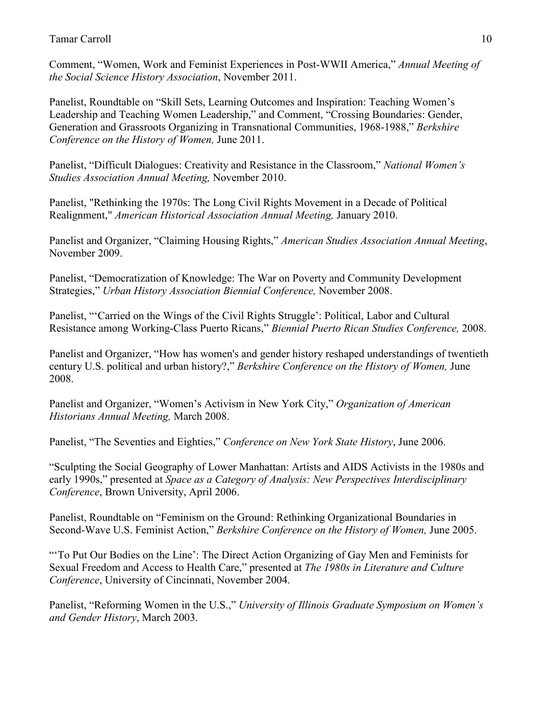Comment, "Women, Work and Feminist Experiences in Post-WWII America," *Annual Meeting of the Social Science History Association*, November 2011.

Panelist, Roundtable on "Skill Sets, Learning Outcomes and Inspiration: Teaching Women's Leadership and Teaching Women Leadership," and Comment, "Crossing Boundaries: Gender, Generation and Grassroots Organizing in Transnational Communities, 1968-1988," *Berkshire Conference on the History of Women,* June 2011.

Panelist, "Difficult Dialogues: Creativity and Resistance in the Classroom," *National Women's Studies Association Annual Meeting,* November 2010.

Panelist, "Rethinking the 1970s: The Long Civil Rights Movement in a Decade of Political Realignment," *American Historical Association Annual Meeting,* January 2010.

Panelist and Organizer, "Claiming Housing Rights," *American Studies Association Annual Meeting*, November 2009.

Panelist, "Democratization of Knowledge: The War on Poverty and Community Development Strategies," *Urban History Association Biennial Conference,* November 2008.

Panelist, "'Carried on the Wings of the Civil Rights Struggle': Political, Labor and Cultural Resistance among Working-Class Puerto Ricans," *Biennial Puerto Rican Studies Conference,* 2008.

Panelist and Organizer, "How has women's and gender history reshaped understandings of twentieth century U.S. political and urban history?," *Berkshire Conference on the History of Women,* June 2008.

Panelist and Organizer, "Women's Activism in New York City," *Organization of American Historians Annual Meeting,* March 2008.

Panelist, "The Seventies and Eighties," *Conference on New York State History*, June 2006.

"Sculpting the Social Geography of Lower Manhattan: Artists and AIDS Activists in the 1980s and early 1990s," presented at *Space as a Category of Analysis: New Perspectives Interdisciplinary Conference*, Brown University, April 2006.

Panelist, Roundtable on "Feminism on the Ground: Rethinking Organizational Boundaries in Second-Wave U.S. Feminist Action," *Berkshire Conference on the History of Women,* June 2005.

"To Put Our Bodies on the Line': The Direct Action Organizing of Gay Men and Feminists for Sexual Freedom and Access to Health Care," presented at *The 1980s in Literature and Culture Conference*, University of Cincinnati, November 2004.

Panelist, "Reforming Women in the U.S.," *University of Illinois Graduate Symposium on Women's and Gender History*, March 2003.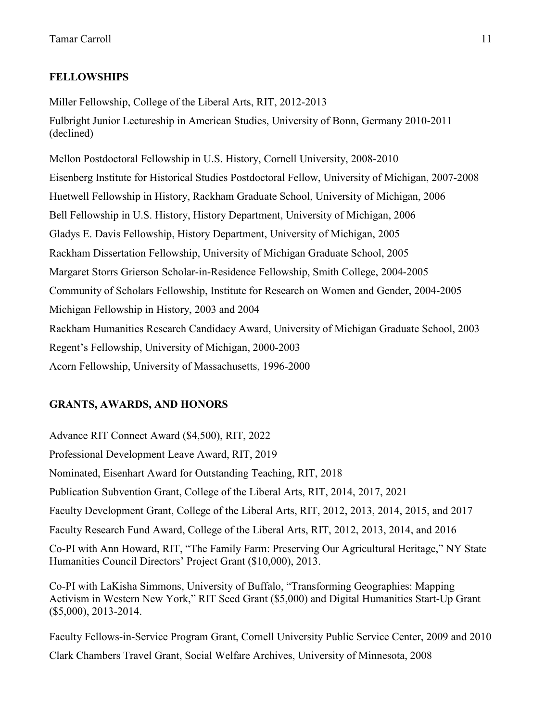# **FELLOWSHIPS**

Miller Fellowship, College of the Liberal Arts, RIT, 2012-2013 Fulbright Junior Lectureship in American Studies, University of Bonn, Germany 2010-2011 (declined)

Mellon Postdoctoral Fellowship in U.S. History, Cornell University, 2008-2010 Eisenberg Institute for Historical Studies Postdoctoral Fellow, University of Michigan, 2007-2008 Huetwell Fellowship in History, Rackham Graduate School, University of Michigan, 2006 Bell Fellowship in U.S. History, History Department, University of Michigan, 2006 Gladys E. Davis Fellowship, History Department, University of Michigan, 2005 Rackham Dissertation Fellowship, University of Michigan Graduate School, 2005 Margaret Storrs Grierson Scholar-in-Residence Fellowship, Smith College, 2004-2005 Community of Scholars Fellowship, Institute for Research on Women and Gender, 2004-2005 Michigan Fellowship in History, 2003 and 2004 Rackham Humanities Research Candidacy Award, University of Michigan Graduate School, 2003 Regent's Fellowship, University of Michigan, 2000-2003 Acorn Fellowship, University of Massachusetts, 1996-2000

# **GRANTS, AWARDS, AND HONORS**

Advance RIT Connect Award (\$4,500), RIT, 2022 Professional Development Leave Award, RIT, 2019 Nominated, Eisenhart Award for Outstanding Teaching, RIT, 2018 Publication Subvention Grant, College of the Liberal Arts, RIT, 2014, 2017, 2021 Faculty Development Grant, College of the Liberal Arts, RIT, 2012, 2013, 2014, 2015, and 2017 Faculty Research Fund Award, College of the Liberal Arts, RIT, 2012, 2013, 2014, and 2016 Co-PI with Ann Howard, RIT, "The Family Farm: Preserving Our Agricultural Heritage," NY State Humanities Council Directors' Project Grant (\$10,000), 2013.

Co-PI with LaKisha Simmons, University of Buffalo, "Transforming Geographies: Mapping Activism in Western New York," RIT Seed Grant (\$5,000) and Digital Humanities Start-Up Grant (\$5,000), 2013-2014.

Faculty Fellows-in-Service Program Grant, Cornell University Public Service Center, 2009 and 2010 Clark Chambers Travel Grant, Social Welfare Archives, University of Minnesota, 2008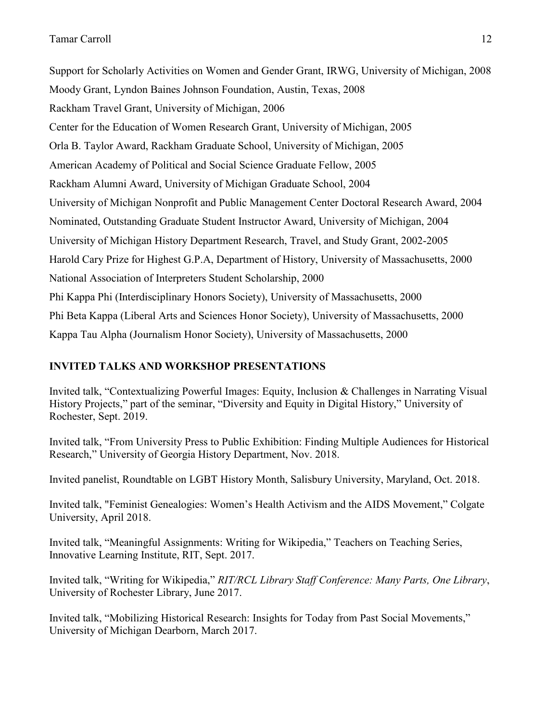Support for Scholarly Activities on Women and Gender Grant, IRWG, University of Michigan, 2008 Moody Grant, Lyndon Baines Johnson Foundation, Austin, Texas, 2008 Rackham Travel Grant, University of Michigan, 2006 Center for the Education of Women Research Grant, University of Michigan, 2005 Orla B. Taylor Award, Rackham Graduate School, University of Michigan, 2005 American Academy of Political and Social Science Graduate Fellow, 2005 Rackham Alumni Award, University of Michigan Graduate School, 2004 University of Michigan Nonprofit and Public Management Center Doctoral Research Award, 2004 Nominated, Outstanding Graduate Student Instructor Award, University of Michigan, 2004 University of Michigan History Department Research, Travel, and Study Grant, 2002-2005 Harold Cary Prize for Highest G.P.A, Department of History, University of Massachusetts, 2000 National Association of Interpreters Student Scholarship, 2000 Phi Kappa Phi (Interdisciplinary Honors Society), University of Massachusetts, 2000 Phi Beta Kappa (Liberal Arts and Sciences Honor Society), University of Massachusetts, 2000 Kappa Tau Alpha (Journalism Honor Society), University of Massachusetts, 2000

# **INVITED TALKS AND WORKSHOP PRESENTATIONS**

Invited talk, "Contextualizing Powerful Images: Equity, Inclusion & Challenges in Narrating Visual History Projects," part of the seminar, "Diversity and Equity in Digital History," University of Rochester, Sept. 2019.

Invited talk, "From University Press to Public Exhibition: Finding Multiple Audiences for Historical Research," University of Georgia History Department, Nov. 2018.

Invited panelist, Roundtable on LGBT History Month, Salisbury University, Maryland, Oct. 2018.

Invited talk, "Feminist Genealogies: Women's Health Activism and the AIDS Movement," Colgate University, April 2018.

Invited talk, "Meaningful Assignments: Writing for Wikipedia," Teachers on Teaching Series, Innovative Learning Institute, RIT, Sept. 2017.

Invited talk, "Writing for Wikipedia," *RIT/RCL Library Staff Conference: Many Parts, One Library*, University of Rochester Library, June 2017.

Invited talk, "Mobilizing Historical Research: Insights for Today from Past Social Movements," University of Michigan Dearborn, March 2017.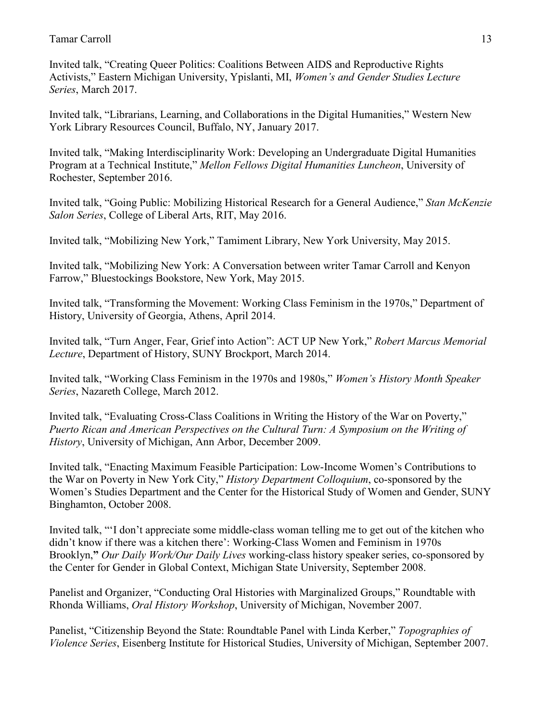Invited talk, "Creating Queer Politics: Coalitions Between AIDS and Reproductive Rights Activists," Eastern Michigan University, Ypislanti, MI, *Women's and Gender Studies Lecture Series*, March 2017.

Invited talk, "Librarians, Learning, and Collaborations in the Digital Humanities," Western New York Library Resources Council, Buffalo, NY, January 2017.

Invited talk, "Making Interdisciplinarity Work: Developing an Undergraduate Digital Humanities Program at a Technical Institute," *Mellon Fellows Digital Humanities Luncheon*, University of Rochester, September 2016.

Invited talk, "Going Public: Mobilizing Historical Research for a General Audience," *Stan McKenzie Salon Series*, College of Liberal Arts, RIT, May 2016.

Invited talk, "Mobilizing New York," Tamiment Library, New York University, May 2015.

Invited talk, "Mobilizing New York: A Conversation between writer Tamar Carroll and Kenyon Farrow," Bluestockings Bookstore, New York, May 2015.

Invited talk, "Transforming the Movement: Working Class Feminism in the 1970s," Department of History, University of Georgia, Athens, April 2014.

Invited talk, "Turn Anger, Fear, Grief into Action": ACT UP New York," *Robert Marcus Memorial Lecture*, Department of History, SUNY Brockport, March 2014.

Invited talk, "Working Class Feminism in the 1970s and 1980s," *Women's History Month Speaker Series*, Nazareth College, March 2012.

Invited talk, "Evaluating Cross-Class Coalitions in Writing the History of the War on Poverty," *Puerto Rican and American Perspectives on the Cultural Turn: A Symposium on the Writing of History*, University of Michigan, Ann Arbor, December 2009.

Invited talk, "Enacting Maximum Feasible Participation: Low-Income Women's Contributions to the War on Poverty in New York City," *History Department Colloquium*, co-sponsored by the Women's Studies Department and the Center for the Historical Study of Women and Gender, SUNY Binghamton, October 2008.

Invited talk, "'I don't appreciate some middle-class woman telling me to get out of the kitchen who didn't know if there was a kitchen there': Working-Class Women and Feminism in 1970s Brooklyn,**"** *Our Daily Work/Our Daily Lives* working-class history speaker series, co-sponsored by the Center for Gender in Global Context, Michigan State University, September 2008.

Panelist and Organizer, "Conducting Oral Histories with Marginalized Groups," Roundtable with Rhonda Williams, *Oral History Workshop*, University of Michigan, November 2007.

Panelist, "Citizenship Beyond the State: Roundtable Panel with Linda Kerber," *Topographies of Violence Series*, Eisenberg Institute for Historical Studies, University of Michigan, September 2007.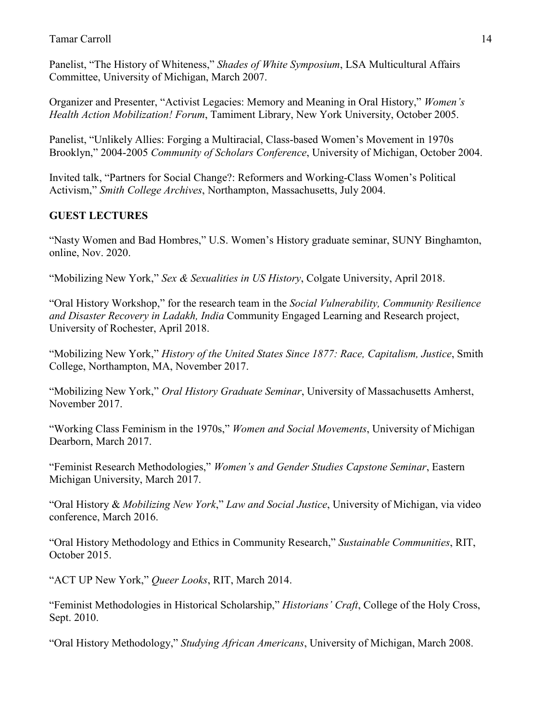Panelist, "The History of Whiteness," *Shades of White Symposium*, LSA Multicultural Affairs Committee, University of Michigan, March 2007.

Organizer and Presenter, "Activist Legacies: Memory and Meaning in Oral History," *Women's Health Action Mobilization! Forum*, Tamiment Library, New York University, October 2005.

Panelist, "Unlikely Allies: Forging a Multiracial, Class-based Women's Movement in 1970s Brooklyn," 2004-2005 *Community of Scholars Conference*, University of Michigan, October 2004.

Invited talk, "Partners for Social Change?: Reformers and Working-Class Women's Political Activism," *Smith College Archives*, Northampton, Massachusetts, July 2004.

## **GUEST LECTURES**

"Nasty Women and Bad Hombres," U.S. Women's History graduate seminar, SUNY Binghamton, online, Nov. 2020.

"Mobilizing New York," *Sex & Sexualities in US History*, Colgate University, April 2018.

"Oral History Workshop," for the research team in the *Social Vulnerability, Community Resilience and Disaster Recovery in Ladakh, India* Community Engaged Learning and Research project, University of Rochester, April 2018.

"Mobilizing New York," *History of the United States Since 1877: Race, Capitalism, Justice*, Smith College, Northampton, MA, November 2017.

"Mobilizing New York," *Oral History Graduate Seminar*, University of Massachusetts Amherst, November 2017.

"Working Class Feminism in the 1970s," *Women and Social Movements*, University of Michigan Dearborn, March 2017.

"Feminist Research Methodologies," *Women's and Gender Studies Capstone Seminar*, Eastern Michigan University, March 2017.

"Oral History & *Mobilizing New York*," *Law and Social Justice*, University of Michigan, via video conference, March 2016.

"Oral History Methodology and Ethics in Community Research," *Sustainable Communities*, RIT, October 2015.

"ACT UP New York," *Queer Looks*, RIT, March 2014.

"Feminist Methodologies in Historical Scholarship," *Historians' Craft*, College of the Holy Cross, Sept. 2010.

"Oral History Methodology," *Studying African Americans*, University of Michigan, March 2008.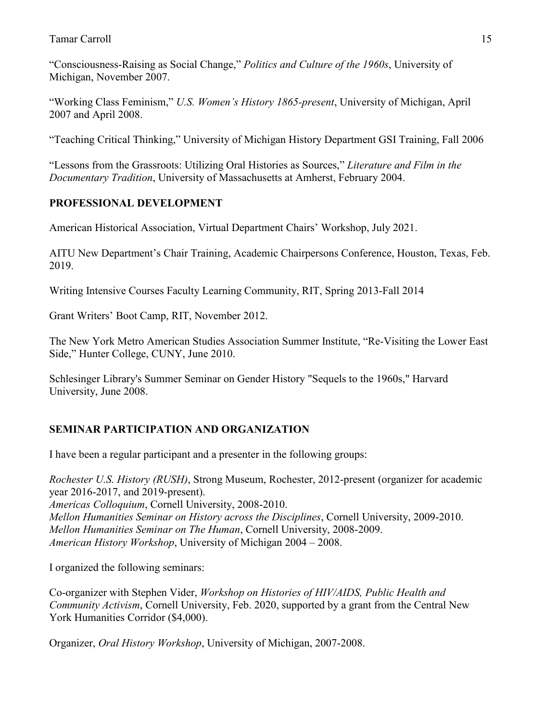"Consciousness-Raising as Social Change," *Politics and Culture of the 1960s*, University of Michigan, November 2007.

"Working Class Feminism," *U.S. Women's History 1865-present*, University of Michigan, April 2007 and April 2008.

"Teaching Critical Thinking," University of Michigan History Department GSI Training, Fall 2006

"Lessons from the Grassroots: Utilizing Oral Histories as Sources," *Literature and Film in the Documentary Tradition*, University of Massachusetts at Amherst, February 2004.

# **PROFESSIONAL DEVELOPMENT**

American Historical Association, Virtual Department Chairs' Workshop, July 2021.

AITU New Department's Chair Training, Academic Chairpersons Conference, Houston, Texas, Feb. 2019.

Writing Intensive Courses Faculty Learning Community, RIT, Spring 2013-Fall 2014

Grant Writers' Boot Camp, RIT, November 2012.

The New York Metro American Studies Association Summer Institute, "Re-Visiting the Lower East Side," Hunter College, CUNY, June 2010.

Schlesinger Library's Summer Seminar on Gender History "Sequels to the 1960s," Harvard University, June 2008.

# **SEMINAR PARTICIPATION AND ORGANIZATION**

I have been a regular participant and a presenter in the following groups:

*Rochester U.S. History (RUSH)*, Strong Museum, Rochester, 2012-present (organizer for academic year 2016-2017, and 2019-present). *Americas Colloquium*, Cornell University, 2008-2010. *Mellon Humanities Seminar on History across the Disciplines*, Cornell University, 2009-2010. *Mellon Humanities Seminar on The Human*, Cornell University, 2008-2009. *American History Workshop*, University of Michigan 2004 – 2008.

I organized the following seminars:

Co-organizer with Stephen Vider, *Workshop on Histories of HIV/AIDS, Public Health and Community Activism*, Cornell University, Feb. 2020, supported by a grant from the Central New York Humanities Corridor (\$4,000).

Organizer, *Oral History Workshop*, University of Michigan, 2007-2008.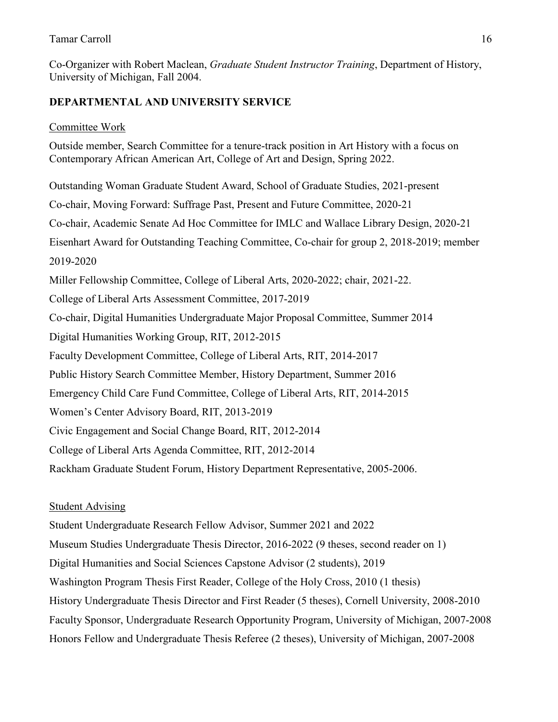Co-Organizer with Robert Maclean, *Graduate Student Instructor Training*, Department of History, University of Michigan, Fall 2004.

# **DEPARTMENTAL AND UNIVERSITY SERVICE**

### Committee Work

Outside member, Search Committee for a tenure-track position in Art History with a focus on Contemporary African American Art, College of Art and Design, Spring 2022.

Outstanding Woman Graduate Student Award, School of Graduate Studies, 2021-present Co-chair, Moving Forward: Suffrage Past, Present and Future Committee, 2020-21 Co-chair, Academic Senate Ad Hoc Committee for IMLC and Wallace Library Design, 2020-21 Eisenhart Award for Outstanding Teaching Committee, Co-chair for group 2, 2018-2019; member 2019-2020 Miller Fellowship Committee, College of Liberal Arts, 2020-2022; chair, 2021-22. College of Liberal Arts Assessment Committee, 2017-2019 Co-chair, Digital Humanities Undergraduate Major Proposal Committee, Summer 2014 Digital Humanities Working Group, RIT, 2012-2015 Faculty Development Committee, College of Liberal Arts, RIT, 2014-2017 Public History Search Committee Member, History Department, Summer 2016 Emergency Child Care Fund Committee, College of Liberal Arts, RIT, 2014-2015 Women's Center Advisory Board, RIT, 2013-2019 Civic Engagement and Social Change Board, RIT, 2012-2014 College of Liberal Arts Agenda Committee, RIT, 2012-2014 Rackham Graduate Student Forum, History Department Representative, 2005-2006.

### Student Advising

Student Undergraduate Research Fellow Advisor, Summer 2021 and 2022 Museum Studies Undergraduate Thesis Director, 2016-2022 (9 theses, second reader on 1) Digital Humanities and Social Sciences Capstone Advisor (2 students), 2019 Washington Program Thesis First Reader, College of the Holy Cross, 2010 (1 thesis) History Undergraduate Thesis Director and First Reader (5 theses), Cornell University, 2008-2010 Faculty Sponsor, Undergraduate Research Opportunity Program, University of Michigan, 2007-2008 Honors Fellow and Undergraduate Thesis Referee (2 theses), University of Michigan, 2007-2008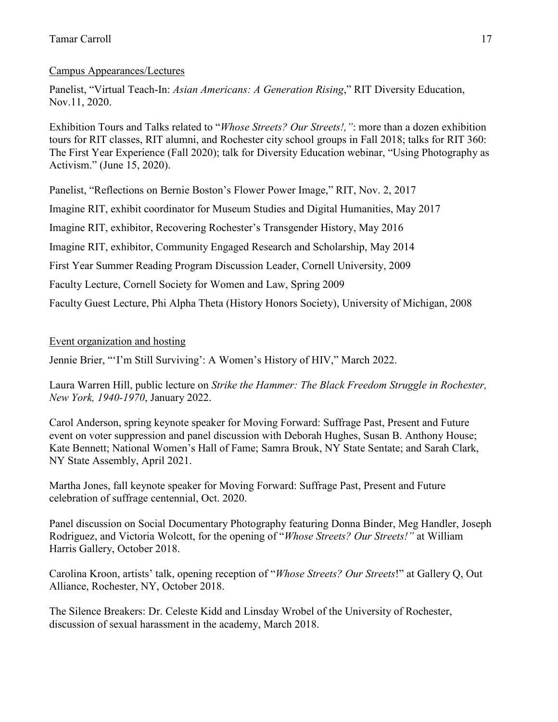# Campus Appearances/Lectures

Panelist, "Virtual Teach-In: *Asian Americans: A Generation Rising*," RIT Diversity Education, Nov.11, 2020.

Exhibition Tours and Talks related to "*Whose Streets? Our Streets!,"*: more than a dozen exhibition tours for RIT classes, RIT alumni, and Rochester city school groups in Fall 2018; talks for RIT 360: The First Year Experience (Fall 2020); talk for Diversity Education webinar, "Using Photography as Activism." (June 15, 2020).

Panelist, "Reflections on Bernie Boston's Flower Power Image," RIT, Nov. 2, 2017

Imagine RIT, exhibit coordinator for Museum Studies and Digital Humanities, May 2017

Imagine RIT, exhibitor, Recovering Rochester's Transgender History, May 2016

Imagine RIT, exhibitor, Community Engaged Research and Scholarship, May 2014

First Year Summer Reading Program Discussion Leader, Cornell University, 2009

Faculty Lecture, Cornell Society for Women and Law, Spring 2009

Faculty Guest Lecture, Phi Alpha Theta (History Honors Society), University of Michigan, 2008

# Event organization and hosting

Jennie Brier, "'I'm Still Surviving': A Women's History of HIV," March 2022.

Laura Warren Hill, public lecture on *Strike the Hammer: The Black Freedom Struggle in Rochester, New York, 1940-1970*, January 2022.

Carol Anderson, spring keynote speaker for Moving Forward: Suffrage Past, Present and Future event on voter suppression and panel discussion with Deborah Hughes, Susan B. Anthony House; Kate Bennett; National Women's Hall of Fame; Samra Brouk, NY State Sentate; and Sarah Clark, NY State Assembly, April 2021.

Martha Jones, fall keynote speaker for Moving Forward: Suffrage Past, Present and Future celebration of suffrage centennial, Oct. 2020.

Panel discussion on Social Documentary Photography featuring Donna Binder, Meg Handler, Joseph Rodriguez, and Victoria Wolcott, for the opening of "*Whose Streets? Our Streets!"* at William Harris Gallery, October 2018.

Carolina Kroon, artists' talk, opening reception of "*Whose Streets? Our Streets*!" at Gallery Q, Out Alliance, Rochester, NY, October 2018.

The Silence Breakers: Dr. Celeste Kidd and Linsday Wrobel of the University of Rochester, discussion of sexual harassment in the academy, March 2018.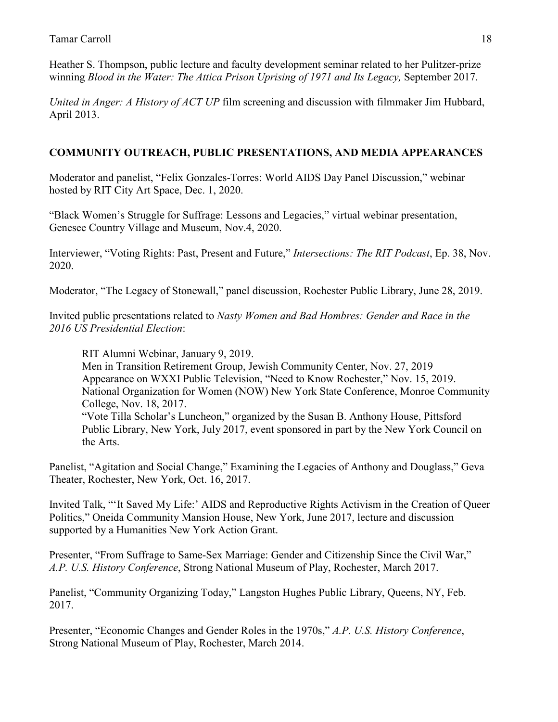Heather S. Thompson, public lecture and faculty development seminar related to her Pulitzer-prize winning *Blood in the Water: The Attica Prison Uprising of 1971 and Its Legacy,* September 2017.

*United in Anger: A History of ACT UP* film screening and discussion with filmmaker Jim Hubbard, April 2013.

# **COMMUNITY OUTREACH, PUBLIC PRESENTATIONS, AND MEDIA APPEARANCES**

Moderator and panelist, "Felix Gonzales-Torres: World AIDS Day Panel Discussion," webinar hosted by RIT City Art Space, Dec. 1, 2020.

"Black Women's Struggle for Suffrage: Lessons and Legacies," virtual webinar presentation, Genesee Country Village and Museum, Nov.4, 2020.

Interviewer, "Voting Rights: Past, Present and Future," *Intersections: The RIT Podcast*, Ep. 38, Nov. 2020.

Moderator, "The Legacy of Stonewall," panel discussion, Rochester Public Library, June 28, 2019.

Invited public presentations related to *Nasty Women and Bad Hombres: Gender and Race in the 2016 US Presidential Election*:

RIT Alumni Webinar, January 9, 2019.

Men in Transition Retirement Group, Jewish Community Center, Nov. 27, 2019 Appearance on WXXI Public Television, "Need to Know Rochester," Nov. 15, 2019. National Organization for Women (NOW) New York State Conference, Monroe Community College, Nov. 18, 2017. "Vote Tilla Scholar's Luncheon," organized by the Susan B. Anthony House, Pittsford Public Library, New York, July 2017, event sponsored in part by the New York Council on the Arts.

Panelist, "Agitation and Social Change," Examining the Legacies of Anthony and Douglass," Geva Theater, Rochester, New York, Oct. 16, 2017.

Invited Talk, "'It Saved My Life:' AIDS and Reproductive Rights Activism in the Creation of Queer Politics," Oneida Community Mansion House, New York, June 2017, lecture and discussion supported by a Humanities New York Action Grant.

Presenter, "From Suffrage to Same-Sex Marriage: Gender and Citizenship Since the Civil War," *A.P. U.S. History Conference*, Strong National Museum of Play, Rochester, March 2017.

Panelist, "Community Organizing Today," Langston Hughes Public Library, Queens, NY, Feb. 2017.

Presenter, "Economic Changes and Gender Roles in the 1970s," *A.P. U.S. History Conference*, Strong National Museum of Play, Rochester, March 2014.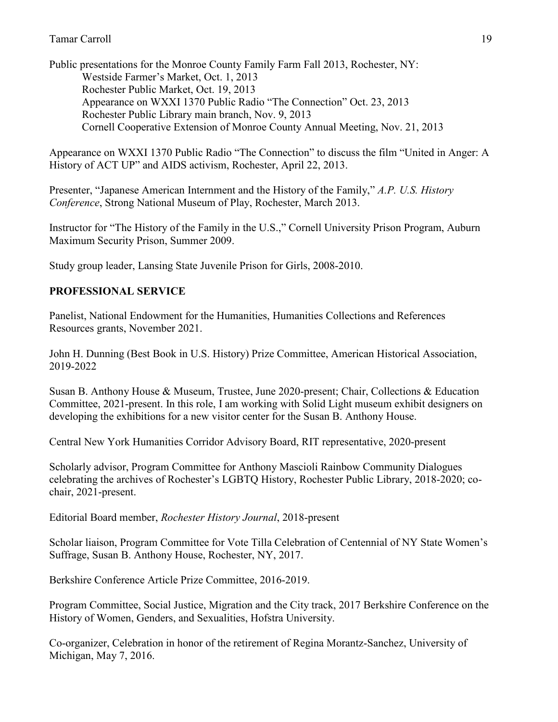Public presentations for the Monroe County Family Farm Fall 2013, Rochester, NY: Westside Farmer's Market, Oct. 1, 2013 Rochester Public Market, Oct. 19, 2013 Appearance on WXXI 1370 Public Radio "The Connection" Oct. 23, 2013 Rochester Public Library main branch, Nov. 9, 2013 Cornell Cooperative Extension of Monroe County Annual Meeting, Nov. 21, 2013

Appearance on WXXI 1370 Public Radio "The Connection" to discuss the film "United in Anger: A History of ACT UP" and AIDS activism, Rochester, April 22, 2013.

Presenter, "Japanese American Internment and the History of the Family," *A.P. U.S. History Conference*, Strong National Museum of Play, Rochester, March 2013.

Instructor for "The History of the Family in the U.S.," Cornell University Prison Program, Auburn Maximum Security Prison, Summer 2009.

Study group leader, Lansing State Juvenile Prison for Girls, 2008-2010.

## **PROFESSIONAL SERVICE**

Panelist, National Endowment for the Humanities, Humanities Collections and References Resources grants, November 2021.

John H. Dunning (Best Book in U.S. History) Prize Committee, American Historical Association, 2019-2022

Susan B. Anthony House & Museum, Trustee, June 2020-present; Chair, Collections & Education Committee, 2021-present. In this role, I am working with Solid Light museum exhibit designers on developing the exhibitions for a new visitor center for the Susan B. Anthony House.

Central New York Humanities Corridor Advisory Board, RIT representative, 2020-present

Scholarly advisor, Program Committee for Anthony Mascioli Rainbow Community Dialogues celebrating the archives of Rochester's LGBTQ History, Rochester Public Library, 2018-2020; cochair, 2021-present.

Editorial Board member, *Rochester History Journal*, 2018-present

Scholar liaison, Program Committee for Vote Tilla Celebration of Centennial of NY State Women's Suffrage, Susan B. Anthony House, Rochester, NY, 2017.

Berkshire Conference Article Prize Committee, 2016-2019.

Program Committee, Social Justice, Migration and the City track, 2017 Berkshire Conference on the History of Women, Genders, and Sexualities, Hofstra University.

Co-organizer, Celebration in honor of the retirement of Regina Morantz-Sanchez, University of Michigan, May 7, 2016.